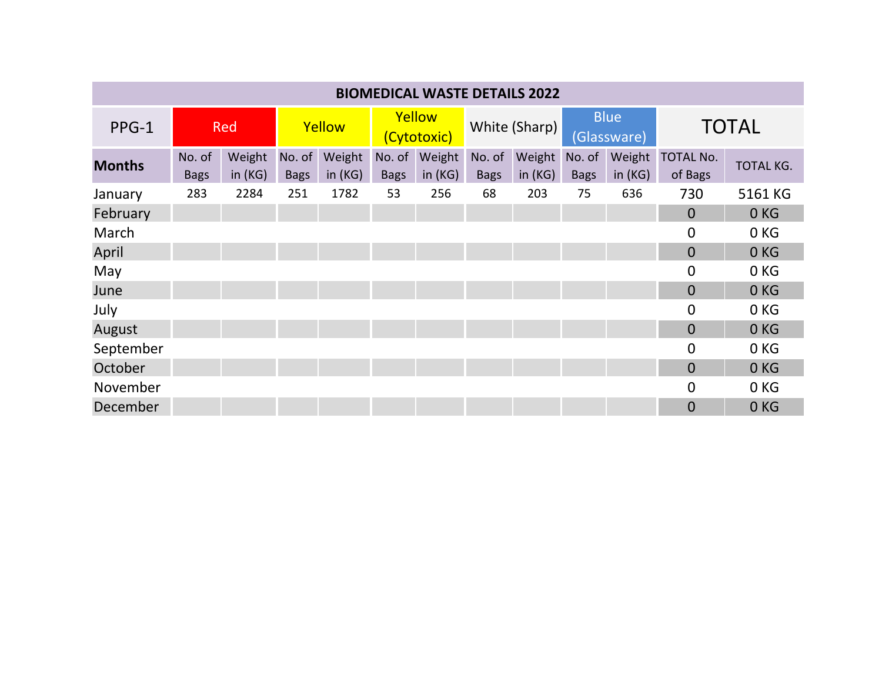| <b>BIOMEDICAL WASTE DETAILS 2022</b> |                       |                     |                       |                     |                       |                     |                       |                            |                            |                  |                             |                 |
|--------------------------------------|-----------------------|---------------------|-----------------------|---------------------|-----------------------|---------------------|-----------------------|----------------------------|----------------------------|------------------|-----------------------------|-----------------|
| PPG-1                                | <b>Red</b>            |                     | Yellow                |                     | Yellow<br>(Cytotoxic) |                     | White (Sharp)         |                            | <b>Blue</b><br>(Glassware) |                  | <b>TOTAL</b>                |                 |
| <b>Months</b>                        | No. of<br><b>Bags</b> | Weight<br>in $(KG)$ | No. of<br><b>Bags</b> | Weight<br>in $(KG)$ | No. of<br><b>Bags</b> | Weight<br>in $(KG)$ | No. of<br><b>Bags</b> | Weight No. of<br>in $(KG)$ | <b>Bags</b>                | Weight<br>in(KG) | <b>TOTAL No.</b><br>of Bags | TOTAL KG.       |
| January                              | 283                   | 2284                | 251                   | 1782                | 53                    | 256                 | 68                    | 203                        | 75                         | 636              | 730                         | 5161 KG         |
| February                             |                       |                     |                       |                     |                       |                     |                       |                            |                            |                  | $\overline{0}$              | 0 <sub>KG</sub> |
| March                                |                       |                     |                       |                     |                       |                     |                       |                            |                            |                  | $\overline{0}$              | 0 KG            |
| April                                |                       |                     |                       |                     |                       |                     |                       |                            |                            |                  | $\overline{0}$              | 0KG             |
| May                                  |                       |                     |                       |                     |                       |                     |                       |                            |                            |                  | 0                           | 0 KG            |
| June                                 |                       |                     |                       |                     |                       |                     |                       |                            |                            |                  | $\overline{0}$              | 0KG             |
| July                                 |                       |                     |                       |                     |                       |                     |                       |                            |                            |                  | 0                           | 0 <sub>KG</sub> |
| August                               |                       |                     |                       |                     |                       |                     |                       |                            |                            |                  | $\overline{0}$              | 0KG             |
| September                            |                       |                     |                       |                     |                       |                     |                       |                            |                            |                  | $\boldsymbol{0}$            | 0 KG            |
| October                              |                       |                     |                       |                     |                       |                     |                       |                            |                            |                  | $\Omega$                    | 0KG             |
| November                             |                       |                     |                       |                     |                       |                     |                       |                            |                            |                  | 0                           | 0 KG            |
| December                             |                       |                     |                       |                     |                       |                     |                       |                            |                            |                  | $\overline{0}$              | 0 <sub>KG</sub> |